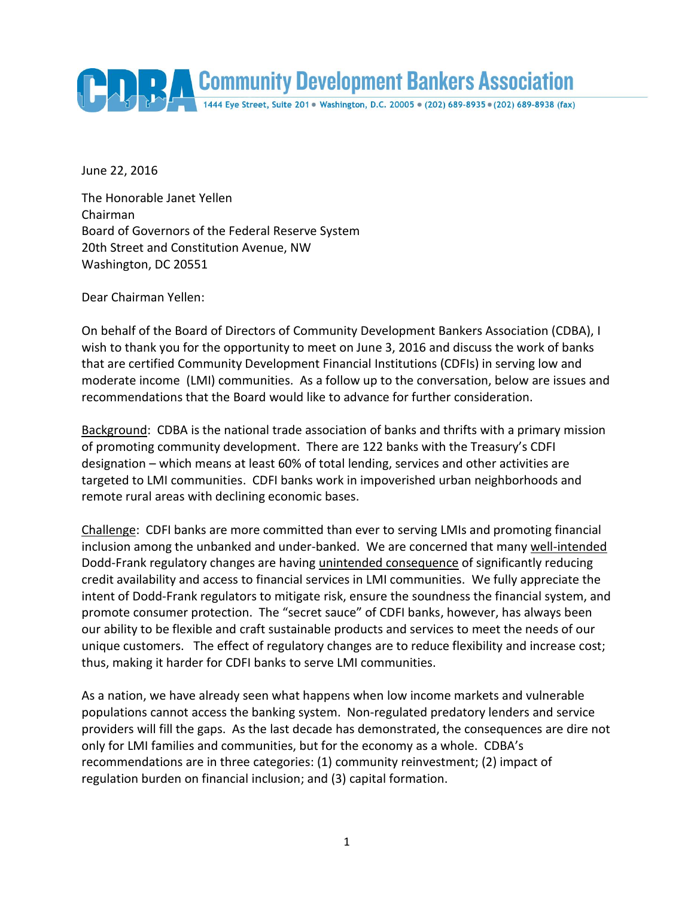

June 22, 2016

The Honorable Janet Yellen Chairman Board of Governors of the Federal Reserve System 20th Street and Constitution Avenue, NW Washington, DC 20551

Dear Chairman Yellen:

On behalf of the Board of Directors of Community Development Bankers Association (CDBA), I wish to thank you for the opportunity to meet on June 3, 2016 and discuss the work of banks that are certified Community Development Financial Institutions (CDFIs) in serving low and moderate income (LMI) communities. As a follow up to the conversation, below are issues and recommendations that the Board would like to advance for further consideration.

Background: CDBA is the national trade association of banks and thrifts with a primary mission of promoting community development. There are 122 banks with the Treasury's CDFI designation – which means at least 60% of total lending, services and other activities are targeted to LMI communities. CDFI banks work in impoverished urban neighborhoods and remote rural areas with declining economic bases.

Challenge: CDFI banks are more committed than ever to serving LMIs and promoting financial inclusion among the unbanked and under-banked. We are concerned that many well-intended Dodd-Frank regulatory changes are having unintended consequence of significantly reducing credit availability and access to financial services in LMI communities. We fully appreciate the intent of Dodd-Frank regulators to mitigate risk, ensure the soundness the financial system, and promote consumer protection. The "secret sauce" of CDFI banks, however, has always been our ability to be flexible and craft sustainable products and services to meet the needs of our unique customers. The effect of regulatory changes are to reduce flexibility and increase cost; thus, making it harder for CDFI banks to serve LMI communities.

As a nation, we have already seen what happens when low income markets and vulnerable populations cannot access the banking system. Non-regulated predatory lenders and service providers will fill the gaps. As the last decade has demonstrated, the consequences are dire not only for LMI families and communities, but for the economy as a whole. CDBA's recommendations are in three categories: (1) community reinvestment; (2) impact of regulation burden on financial inclusion; and (3) capital formation.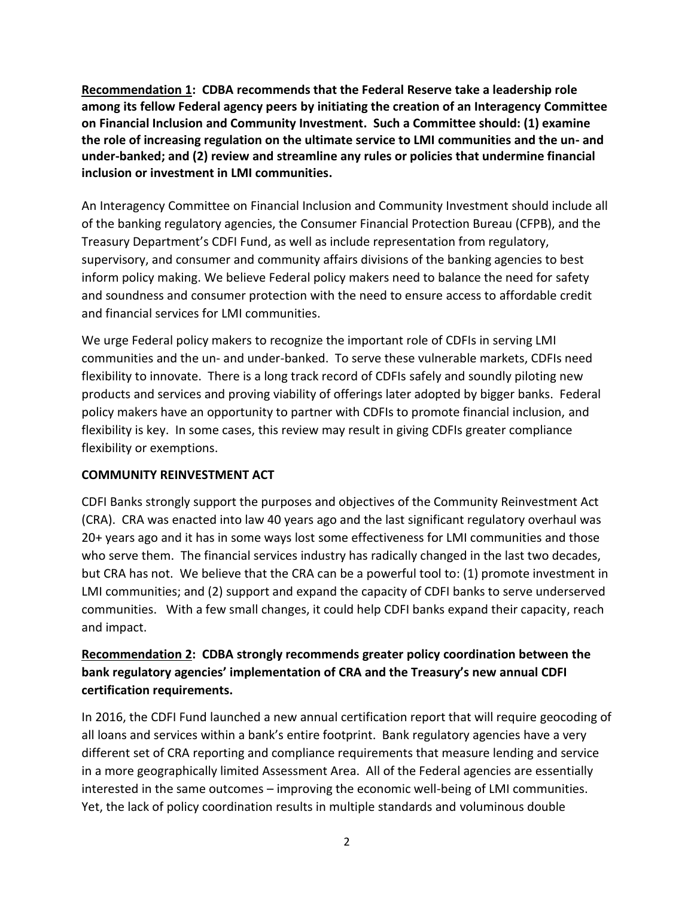**Recommendation 1: CDBA recommends that the Federal Reserve take a leadership role among its fellow Federal agency peers by initiating the creation of an Interagency Committee on Financial Inclusion and Community Investment. Such a Committee should: (1) examine the role of increasing regulation on the ultimate service to LMI communities and the un- and under-banked; and (2) review and streamline any rules or policies that undermine financial inclusion or investment in LMI communities.**

An Interagency Committee on Financial Inclusion and Community Investment should include all of the banking regulatory agencies, the Consumer Financial Protection Bureau (CFPB), and the Treasury Department's CDFI Fund, as well as include representation from regulatory, supervisory, and consumer and community affairs divisions of the banking agencies to best inform policy making. We believe Federal policy makers need to balance the need for safety and soundness and consumer protection with the need to ensure access to affordable credit and financial services for LMI communities.

We urge Federal policy makers to recognize the important role of CDFIs in serving LMI communities and the un- and under-banked. To serve these vulnerable markets, CDFIs need flexibility to innovate. There is a long track record of CDFIs safely and soundly piloting new products and services and proving viability of offerings later adopted by bigger banks. Federal policy makers have an opportunity to partner with CDFIs to promote financial inclusion, and flexibility is key. In some cases, this review may result in giving CDFIs greater compliance flexibility or exemptions.

## **COMMUNITY REINVESTMENT ACT**

CDFI Banks strongly support the purposes and objectives of the Community Reinvestment Act (CRA). CRA was enacted into law 40 years ago and the last significant regulatory overhaul was 20+ years ago and it has in some ways lost some effectiveness for LMI communities and those who serve them. The financial services industry has radically changed in the last two decades, but CRA has not. We believe that the CRA can be a powerful tool to: (1) promote investment in LMI communities; and (2) support and expand the capacity of CDFI banks to serve underserved communities. With a few small changes, it could help CDFI banks expand their capacity, reach and impact.

## **Recommendation 2: CDBA strongly recommends greater policy coordination between the bank regulatory agencies' implementation of CRA and the Treasury's new annual CDFI certification requirements.**

In 2016, the CDFI Fund launched a new annual certification report that will require geocoding of all loans and services within a bank's entire footprint. Bank regulatory agencies have a very different set of CRA reporting and compliance requirements that measure lending and service in a more geographically limited Assessment Area. All of the Federal agencies are essentially interested in the same outcomes – improving the economic well-being of LMI communities. Yet, the lack of policy coordination results in multiple standards and voluminous double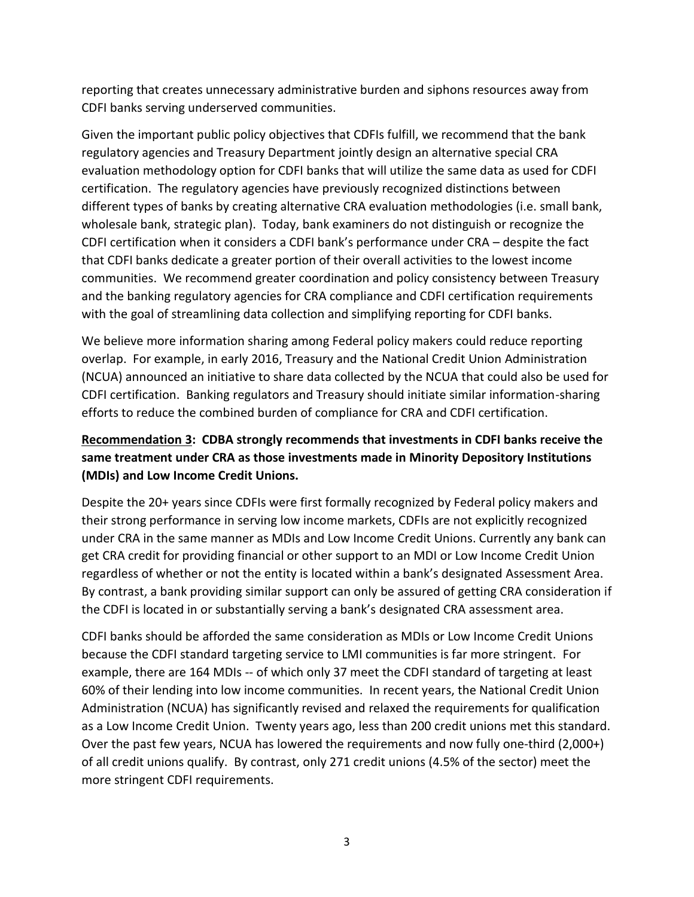reporting that creates unnecessary administrative burden and siphons resources away from CDFI banks serving underserved communities.

Given the important public policy objectives that CDFIs fulfill, we recommend that the bank regulatory agencies and Treasury Department jointly design an alternative special CRA evaluation methodology option for CDFI banks that will utilize the same data as used for CDFI certification. The regulatory agencies have previously recognized distinctions between different types of banks by creating alternative CRA evaluation methodologies (i.e. small bank, wholesale bank, strategic plan). Today, bank examiners do not distinguish or recognize the CDFI certification when it considers a CDFI bank's performance under CRA – despite the fact that CDFI banks dedicate a greater portion of their overall activities to the lowest income communities. We recommend greater coordination and policy consistency between Treasury and the banking regulatory agencies for CRA compliance and CDFI certification requirements with the goal of streamlining data collection and simplifying reporting for CDFI banks.

We believe more information sharing among Federal policy makers could reduce reporting overlap. For example, in early 2016, Treasury and the National Credit Union Administration (NCUA) announced an initiative to share data collected by the NCUA that could also be used for CDFI certification. Banking regulators and Treasury should initiate similar information-sharing efforts to reduce the combined burden of compliance for CRA and CDFI certification.

# **Recommendation 3: CDBA strongly recommends that investments in CDFI banks receive the same treatment under CRA as those investments made in Minority Depository Institutions (MDIs) and Low Income Credit Unions.**

Despite the 20+ years since CDFIs were first formally recognized by Federal policy makers and their strong performance in serving low income markets, CDFIs are not explicitly recognized under CRA in the same manner as MDIs and Low Income Credit Unions. Currently any bank can get CRA credit for providing financial or other support to an MDI or Low Income Credit Union regardless of whether or not the entity is located within a bank's designated Assessment Area. By contrast, a bank providing similar support can only be assured of getting CRA consideration if the CDFI is located in or substantially serving a bank's designated CRA assessment area.

CDFI banks should be afforded the same consideration as MDIs or Low Income Credit Unions because the CDFI standard targeting service to LMI communities is far more stringent. For example, there are 164 MDIs -- of which only 37 meet the CDFI standard of targeting at least 60% of their lending into low income communities. In recent years, the National Credit Union Administration (NCUA) has significantly revised and relaxed the requirements for qualification as a Low Income Credit Union. Twenty years ago, less than 200 credit unions met this standard. Over the past few years, NCUA has lowered the requirements and now fully one-third (2,000+) of all credit unions qualify. By contrast, only 271 credit unions (4.5% of the sector) meet the more stringent CDFI requirements.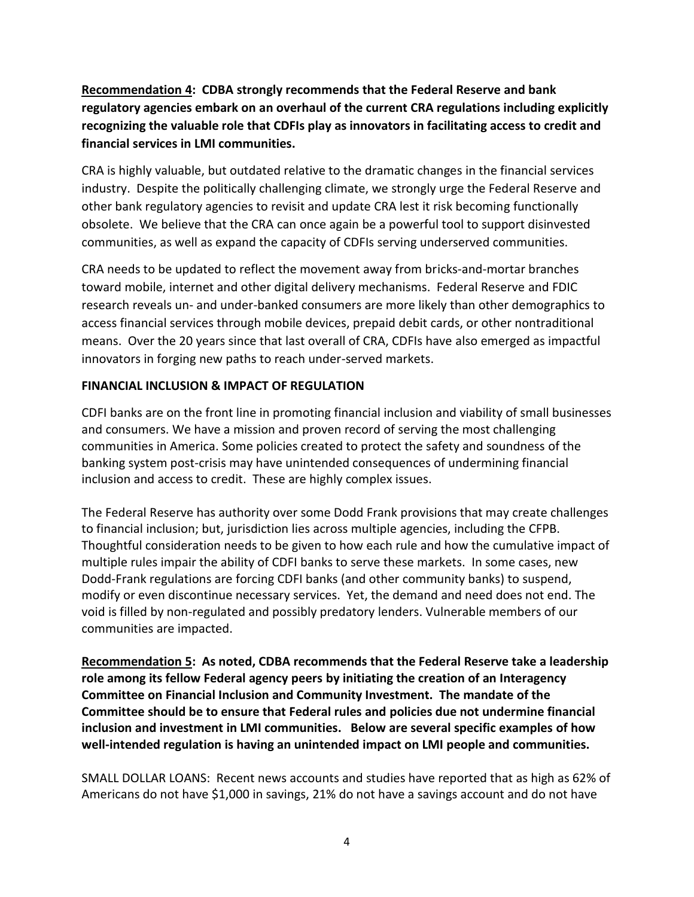**Recommendation 4: CDBA strongly recommends that the Federal Reserve and bank regulatory agencies embark on an overhaul of the current CRA regulations including explicitly recognizing the valuable role that CDFIs play as innovators in facilitating access to credit and financial services in LMI communities.**

CRA is highly valuable, but outdated relative to the dramatic changes in the financial services industry. Despite the politically challenging climate, we strongly urge the Federal Reserve and other bank regulatory agencies to revisit and update CRA lest it risk becoming functionally obsolete. We believe that the CRA can once again be a powerful tool to support disinvested communities, as well as expand the capacity of CDFIs serving underserved communities.

CRA needs to be updated to reflect the movement away from bricks-and-mortar branches toward mobile, internet and other digital delivery mechanisms. Federal Reserve and FDIC research reveals un- and under-banked consumers are more likely than other demographics to access financial services through mobile devices, prepaid debit cards, or other nontraditional means. Over the 20 years since that last overall of CRA, CDFIs have also emerged as impactful innovators in forging new paths to reach under-served markets.

## **FINANCIAL INCLUSION & IMPACT OF REGULATION**

CDFI banks are on the front line in promoting financial inclusion and viability of small businesses and consumers. We have a mission and proven record of serving the most challenging communities in America. Some policies created to protect the safety and soundness of the banking system post-crisis may have unintended consequences of undermining financial inclusion and access to credit. These are highly complex issues.

The Federal Reserve has authority over some Dodd Frank provisions that may create challenges to financial inclusion; but, jurisdiction lies across multiple agencies, including the CFPB. Thoughtful consideration needs to be given to how each rule and how the cumulative impact of multiple rules impair the ability of CDFI banks to serve these markets. In some cases, new Dodd-Frank regulations are forcing CDFI banks (and other community banks) to suspend, modify or even discontinue necessary services. Yet, the demand and need does not end. The void is filled by non-regulated and possibly predatory lenders. Vulnerable members of our communities are impacted.

**Recommendation 5: As noted, CDBA recommends that the Federal Reserve take a leadership role among its fellow Federal agency peers by initiating the creation of an Interagency Committee on Financial Inclusion and Community Investment. The mandate of the Committee should be to ensure that Federal rules and policies due not undermine financial inclusion and investment in LMI communities. Below are several specific examples of how well-intended regulation is having an unintended impact on LMI people and communities.**

SMALL DOLLAR LOANS: Recent news accounts and studies have reported that as high as 62% of Americans do not have \$1,000 in savings, 21% do not have a savings account and do not have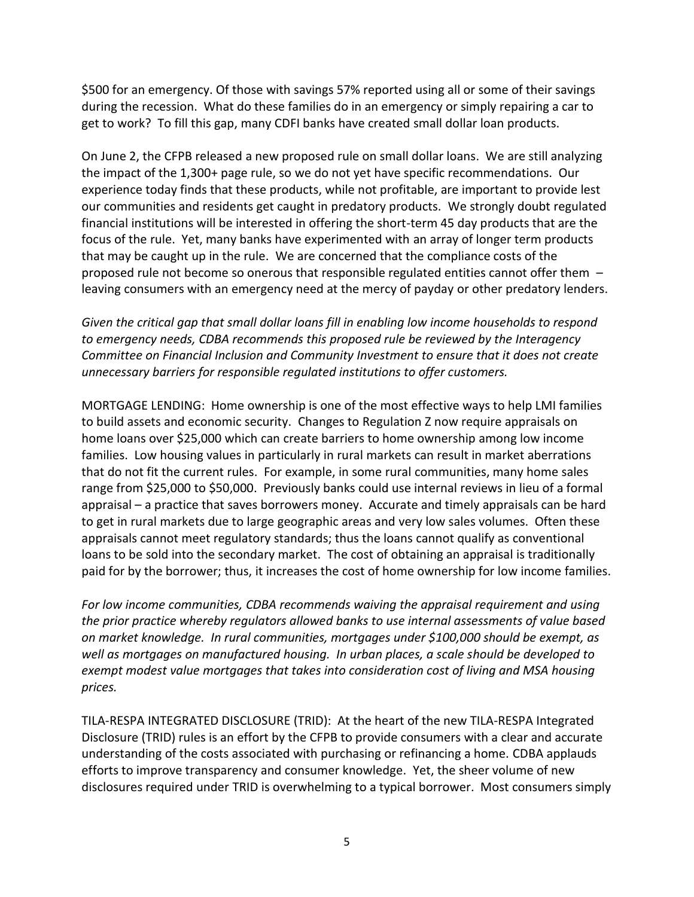\$500 for an emergency. Of those with savings 57% reported using all or some of their savings during the recession. What do these families do in an emergency or simply repairing a car to get to work? To fill this gap, many CDFI banks have created small dollar loan products.

On June 2, the CFPB released a new proposed rule on small dollar loans. We are still analyzing the impact of the 1,300+ page rule, so we do not yet have specific recommendations. Our experience today finds that these products, while not profitable, are important to provide lest our communities and residents get caught in predatory products. We strongly doubt regulated financial institutions will be interested in offering the short-term 45 day products that are the focus of the rule. Yet, many banks have experimented with an array of longer term products that may be caught up in the rule. We are concerned that the compliance costs of the proposed rule not become so onerous that responsible regulated entities cannot offer them – leaving consumers with an emergency need at the mercy of payday or other predatory lenders.

*Given the critical gap that small dollar loans fill in enabling low income households to respond to emergency needs, CDBA recommends this proposed rule be reviewed by the Interagency Committee on Financial Inclusion and Community Investment to ensure that it does not create unnecessary barriers for responsible regulated institutions to offer customers.* 

MORTGAGE LENDING: Home ownership is one of the most effective ways to help LMI families to build assets and economic security. Changes to Regulation Z now require appraisals on home loans over \$25,000 which can create barriers to home ownership among low income families. Low housing values in particularly in rural markets can result in market aberrations that do not fit the current rules. For example, in some rural communities, many home sales range from \$25,000 to \$50,000. Previously banks could use internal reviews in lieu of a formal appraisal – a practice that saves borrowers money. Accurate and timely appraisals can be hard to get in rural markets due to large geographic areas and very low sales volumes. Often these appraisals cannot meet regulatory standards; thus the loans cannot qualify as conventional loans to be sold into the secondary market. The cost of obtaining an appraisal is traditionally paid for by the borrower; thus, it increases the cost of home ownership for low income families.

*For low income communities, CDBA recommends waiving the appraisal requirement and using the prior practice whereby regulators allowed banks to use internal assessments of value based on market knowledge. In rural communities, mortgages under \$100,000 should be exempt, as well as mortgages on manufactured housing. In urban places, a scale should be developed to exempt modest value mortgages that takes into consideration cost of living and MSA housing prices.*

TILA-RESPA INTEGRATED DISCLOSURE (TRID): At the heart of the new TILA-RESPA Integrated Disclosure (TRID) rules is an effort by the CFPB to provide consumers with a clear and accurate understanding of the costs associated with purchasing or refinancing a home. CDBA applauds efforts to improve transparency and consumer knowledge. Yet, the sheer volume of new disclosures required under TRID is overwhelming to a typical borrower. Most consumers simply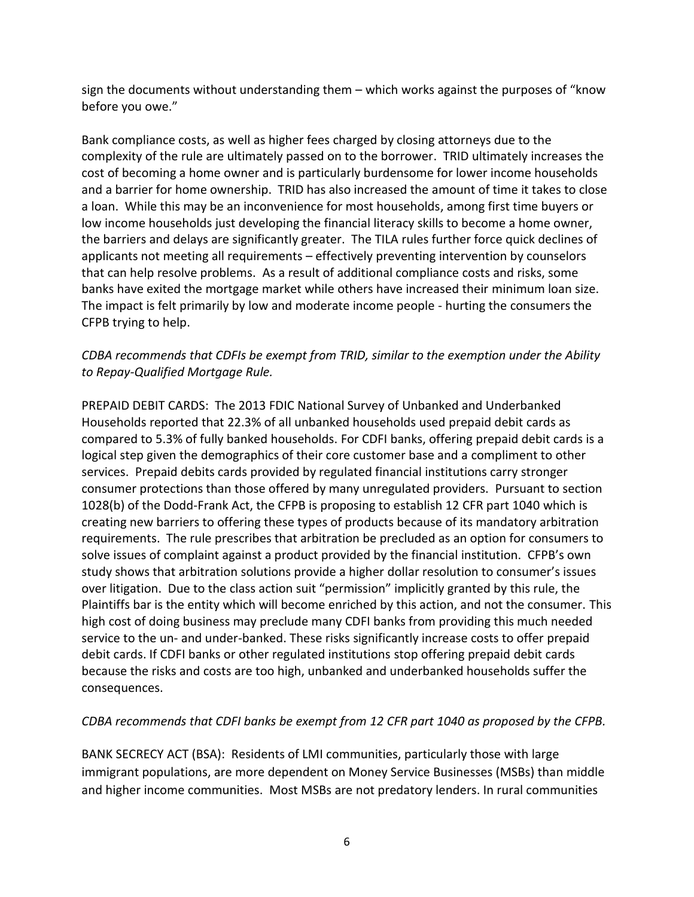sign the documents without understanding them – which works against the purposes of "know before you owe."

Bank compliance costs, as well as higher fees charged by closing attorneys due to the complexity of the rule are ultimately passed on to the borrower. TRID ultimately increases the cost of becoming a home owner and is particularly burdensome for lower income households and a barrier for home ownership. TRID has also increased the amount of time it takes to close a loan. While this may be an inconvenience for most households, among first time buyers or low income households just developing the financial literacy skills to become a home owner, the barriers and delays are significantly greater. The TILA rules further force quick declines of applicants not meeting all requirements – effectively preventing intervention by counselors that can help resolve problems. As a result of additional compliance costs and risks, some banks have exited the mortgage market while others have increased their minimum loan size. The impact is felt primarily by low and moderate income people - hurting the consumers the CFPB trying to help.

## *CDBA recommends that CDFIs be exempt from TRID, similar to the exemption under the Ability to Repay-Qualified Mortgage Rule.*

PREPAID DEBIT CARDS: The 2013 FDIC National Survey of Unbanked and Underbanked Households reported that 22.3% of all unbanked households used prepaid debit cards as compared to 5.3% of fully banked households. For CDFI banks, offering prepaid debit cards is a logical step given the demographics of their core customer base and a compliment to other services. Prepaid debits cards provided by regulated financial institutions carry stronger consumer protections than those offered by many unregulated providers. Pursuant to section 1028(b) of the Dodd-Frank Act, the CFPB is proposing to establish 12 CFR part 1040 which is creating new barriers to offering these types of products because of its mandatory arbitration requirements. The rule prescribes that arbitration be precluded as an option for consumers to solve issues of complaint against a product provided by the financial institution. CFPB's own study shows that arbitration solutions provide a higher dollar resolution to consumer's issues over litigation. Due to the class action suit "permission" implicitly granted by this rule, the Plaintiffs bar is the entity which will become enriched by this action, and not the consumer. This high cost of doing business may preclude many CDFI banks from providing this much needed service to the un- and under-banked. These risks significantly increase costs to offer prepaid debit cards. If CDFI banks or other regulated institutions stop offering prepaid debit cards because the risks and costs are too high, unbanked and underbanked households suffer the consequences.

## *CDBA recommends that CDFI banks be exempt from 12 CFR part 1040 as proposed by the CFPB.*

BANK SECRECY ACT (BSA): Residents of LMI communities, particularly those with large immigrant populations, are more dependent on Money Service Businesses (MSBs) than middle and higher income communities. Most MSBs are not predatory lenders. In rural communities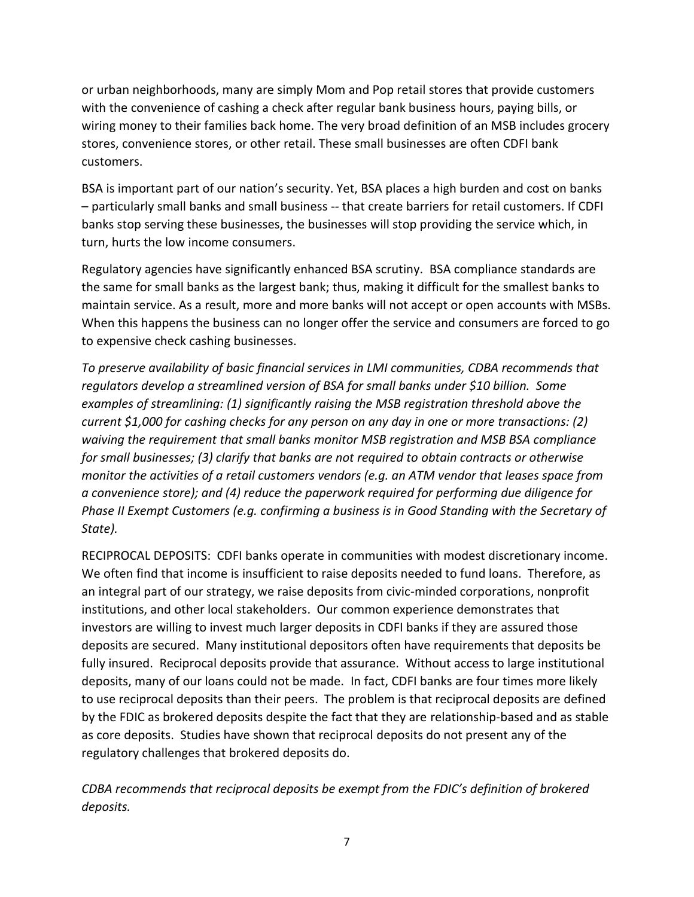or urban neighborhoods, many are simply Mom and Pop retail stores that provide customers with the convenience of cashing a check after regular bank business hours, paying bills, or wiring money to their families back home. The very broad definition of an MSB includes grocery stores, convenience stores, or other retail. These small businesses are often CDFI bank customers.

BSA is important part of our nation's security. Yet, BSA places a high burden and cost on banks – particularly small banks and small business -- that create barriers for retail customers. If CDFI banks stop serving these businesses, the businesses will stop providing the service which, in turn, hurts the low income consumers.

Regulatory agencies have significantly enhanced BSA scrutiny. BSA compliance standards are the same for small banks as the largest bank; thus, making it difficult for the smallest banks to maintain service. As a result, more and more banks will not accept or open accounts with MSBs. When this happens the business can no longer offer the service and consumers are forced to go to expensive check cashing businesses.

*To preserve availability of basic financial services in LMI communities, CDBA recommends that regulators develop a streamlined version of BSA for small banks under \$10 billion. Some examples of streamlining: (1) significantly raising the MSB registration threshold above the current \$1,000 for cashing checks for any person on any day in one or more transactions: (2) waiving the requirement that small banks monitor MSB registration and MSB BSA compliance for small businesses; (3) clarify that banks are not required to obtain contracts or otherwise monitor the activities of a retail customers vendors (e.g. an ATM vendor that leases space from a convenience store); and (4) reduce the paperwork required for performing due diligence for Phase II Exempt Customers (e.g. confirming a business is in Good Standing with the Secretary of State).*

RECIPROCAL DEPOSITS: CDFI banks operate in communities with modest discretionary income. We often find that income is insufficient to raise deposits needed to fund loans. Therefore, as an integral part of our strategy, we raise deposits from civic-minded corporations, nonprofit institutions, and other local stakeholders. Our common experience demonstrates that investors are willing to invest much larger deposits in CDFI banks if they are assured those deposits are secured. Many institutional depositors often have requirements that deposits be fully insured. Reciprocal deposits provide that assurance. Without access to large institutional deposits, many of our loans could not be made. In fact, CDFI banks are four times more likely to use reciprocal deposits than their peers. The problem is that reciprocal deposits are defined by the FDIC as brokered deposits despite the fact that they are relationship-based and as stable as core deposits. Studies have shown that reciprocal deposits do not present any of the regulatory challenges that brokered deposits do.

*CDBA recommends that reciprocal deposits be exempt from the FDIC's definition of brokered deposits.*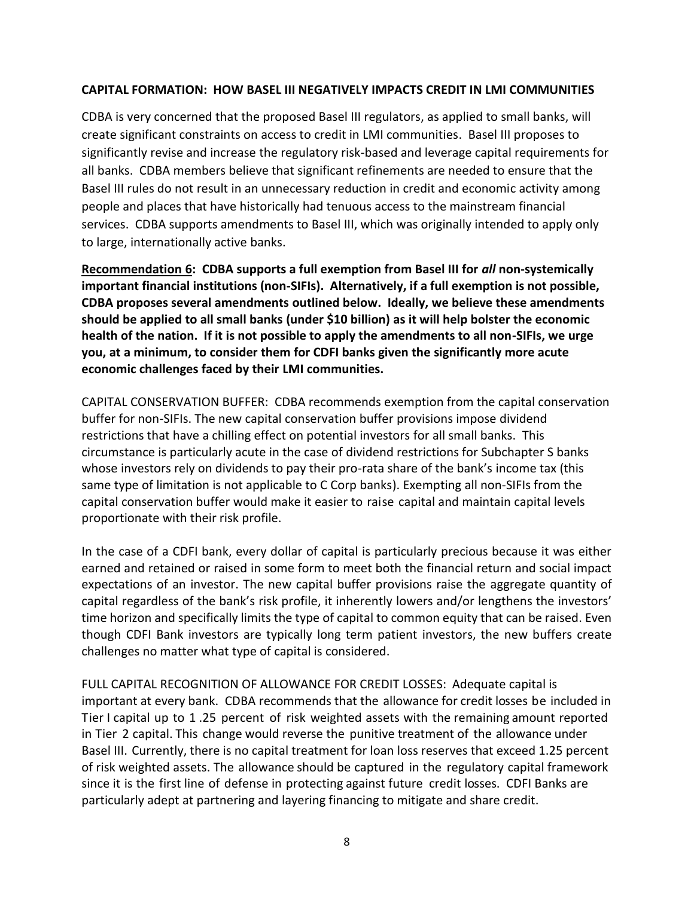#### **CAPITAL FORMATION: HOW BASEL III NEGATIVELY IMPACTS CREDIT IN LMI COMMUNITIES**

CDBA is very concerned that the proposed Basel III regulators, as applied to small banks, will create significant constraints on access to credit in LMI communities. Basel III proposes to significantly revise and increase the regulatory risk-based and leverage capital requirements for all banks. CDBA members believe that significant refinements are needed to ensure that the Basel III rules do not result in an unnecessary reduction in credit and economic activity among people and places that have historically had tenuous access to the mainstream financial services. CDBA supports amendments to Basel III, which was originally intended to apply only to large, internationally active banks.

**Recommendation 6: CDBA supports a full exemption from Basel III for** *all* **non-systemically important financial institutions (non-SIFIs). Alternatively, if a full exemption is not possible, CDBA proposes several amendments outlined below. Ideally, we believe these amendments should be applied to all small banks (under \$10 billion) as it will help bolster the economic health of the nation. If it is not possible to apply the amendments to all non-SIFIs, we urge you, at a minimum, to consider them for CDFI banks given the significantly more acute economic challenges faced by their LMI communities.** 

CAPITAL CONSERVATION BUFFER: CDBA recommends exemption from the capital conservation buffer for non-SIFIs. The new capital conservation buffer provisions impose dividend restrictions that have a chilling effect on potential investors for all small banks. This circumstance is particularly acute in the case of dividend restrictions for Subchapter S banks whose investors rely on dividends to pay their pro-rata share of the bank's income tax (this same type of limitation is not applicable to C Corp banks). Exempting all non-SIFIs from the capital conservation buffer would make it easier to raise capital and maintain capital levels proportionate with their risk profile.

In the case of a CDFI bank, every dollar of capital is particularly precious because it was either earned and retained or raised in some form to meet both the financial return and social impact expectations of an investor. The new capital buffer provisions raise the aggregate quantity of capital regardless of the bank's risk profile, it inherently lowers and/or lengthens the investors' time horizon and specifically limits the type of capital to common equity that can be raised. Even though CDFI Bank investors are typically long term patient investors, the new buffers create challenges no matter what type of capital is considered.

FULL CAPITAL RECOGNITION OF ALLOWANCE FOR CREDIT LOSSES: Adequate capital is important at every bank. CDBA recommends that the allowance for credit losses be included in Tier I capital up to 1 .25 percent of risk weighted assets with the remaining amount reported in Tier 2 capital. This change would reverse the punitive treatment of the allowance under Basel III. Currently, there is no capital treatment for loan loss reserves that exceed 1.25 percent of risk weighted assets. The allowance should be captured in the regulatory capital framework since it is the first line of defense in protecting against future credit losses. CDFI Banks are particularly adept at partnering and layering financing to mitigate and share credit.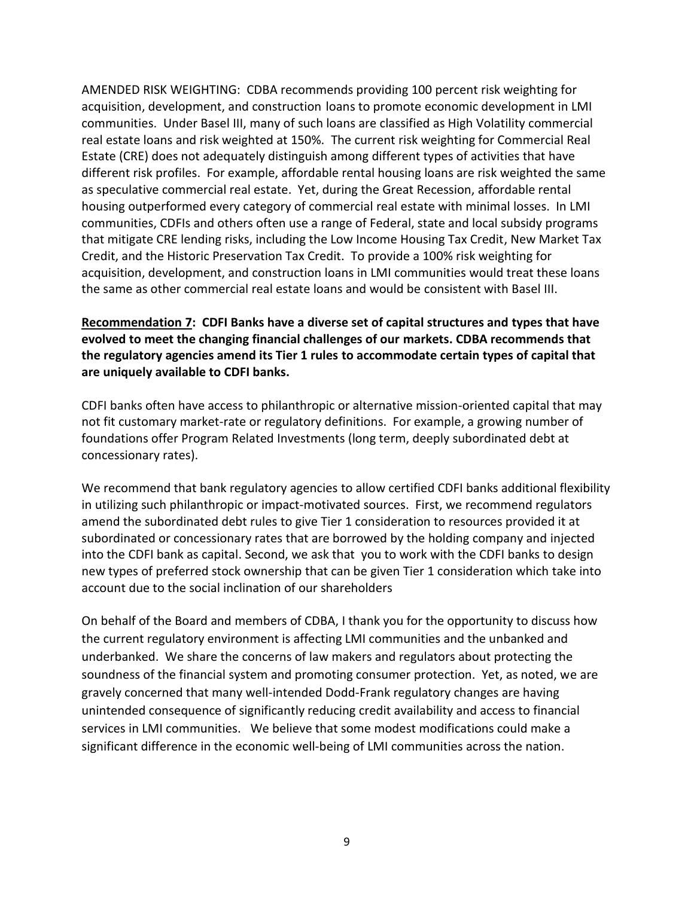AMENDED RISK WEIGHTING: CDBA recommends providing 100 percent risk weighting for acquisition, development, and construction loans to promote economic development in LMI communities. Under Basel III, many of such loans are classified as High Volatility commercial real estate loans and risk weighted at 150%. The current risk weighting for Commercial Real Estate (CRE) does not adequately distinguish among different types of activities that have different risk profiles. For example, affordable rental housing loans are risk weighted the same as speculative commercial real estate. Yet, during the Great Recession, affordable rental housing outperformed every category of commercial real estate with minimal losses. In LMI communities, CDFIs and others often use a range of Federal, state and local subsidy programs that mitigate CRE lending risks, including the Low Income Housing Tax Credit, New Market Tax Credit, and the Historic Preservation Tax Credit. To provide a 100% risk weighting for acquisition, development, and construction loans in LMI communities would treat these loans the same as other commercial real estate loans and would be consistent with Basel III.

## **Recommendation 7: CDFI Banks have a diverse set of capital structures and types that have evolved to meet the changing financial challenges of our markets. CDBA recommends that the regulatory agencies amend its Tier 1 rules to accommodate certain types of capital that are uniquely available to CDFI banks.**

CDFI banks often have access to philanthropic or alternative mission-oriented capital that may not fit customary market-rate or regulatory definitions. For example, a growing number of foundations offer Program Related Investments (long term, deeply subordinated debt at concessionary rates).

We recommend that bank regulatory agencies to allow certified CDFI banks additional flexibility in utilizing such philanthropic or impact-motivated sources. First, we recommend regulators amend the subordinated debt rules to give Tier 1 consideration to resources provided it at subordinated or concessionary rates that are borrowed by the holding company and injected into the CDFI bank as capital. Second, we ask that you to work with the CDFI banks to design new types of preferred stock ownership that can be given Tier 1 consideration which take into account due to the social inclination of our shareholders

On behalf of the Board and members of CDBA, I thank you for the opportunity to discuss how the current regulatory environment is affecting LMI communities and the unbanked and underbanked. We share the concerns of law makers and regulators about protecting the soundness of the financial system and promoting consumer protection. Yet, as noted, we are gravely concerned that many well-intended Dodd-Frank regulatory changes are having unintended consequence of significantly reducing credit availability and access to financial services in LMI communities. We believe that some modest modifications could make a significant difference in the economic well-being of LMI communities across the nation.